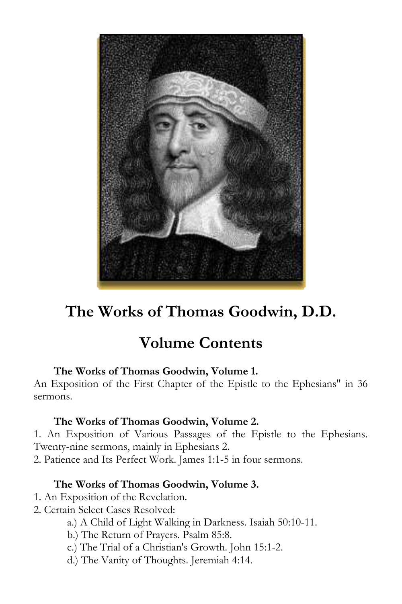

# **The Works of Thomas Goodwin, D.D.**

## **Volume Contents**

## **The Works of Thomas Goodwin, Volume 1.**

An Exposition of the First Chapter of the Epistle to the Ephesians" in 36 sermons.

## **The Works of Thomas Goodwin, Volume 2.**

1. An Exposition of Various Passages of the Epistle to the Ephesians. Twenty-nine sermons, mainly in Ephesians 2.

2. Patience and Its Perfect Work. James 1:1-5 in four sermons.

## **The Works of Thomas Goodwin, Volume 3.**

- 1. An Exposition of the Revelation.
- 2. Certain Select Cases Resolved:
	- a.) A Child of Light Walking in Darkness. Isaiah 50:10-11.
	- b.) The Return of Prayers. Psalm 85:8.
	- c.) The Trial of a Christian's Growth. John 15:1-2.
	- d.) The Vanity of Thoughts. Jeremiah 4:14.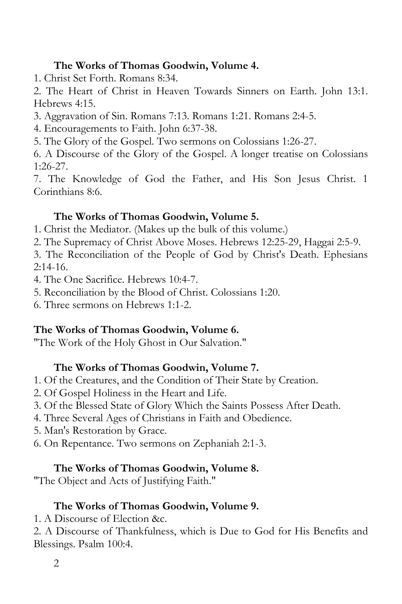## **The Works of Thomas Goodwin, Volume 4.**

1. Christ Set Forth. Romans 8:34.

2. The Heart of Christ in Heaven Towards Sinners on Earth. John 13:1. Hebrews 4:15.

3. Aggravation of Sin. Romans 7:13. Romans 1:21. Romans 2:4-5.

4. Encouragements to Faith. John 6:37-38.

5. The Glory of the Gospel. Two sermons on Colossians 1:26-27.

6. A Discourse of the Glory of the Gospel. A longer treatise on Colossians 1:26-27.

7. The Knowledge of God the Father, and His Son Jesus Christ. 1 Corinthians 8:6.

## **The Works of Thomas Goodwin, Volume 5.**

- 1. Christ the Mediator. (Makes up the bulk of this volume.)
- 2. The Supremacy of Christ Above Moses. Hebrews 12:25-29, Haggai 2:5-9.

3. The Reconciliation of the People of God by Christ's Death. Ephesians  $2:14-16.$ 

4. The One Sacrifice. Hebrews 10:4-7.

5. Reconciliation by the Blood of Christ. Colossians 1:20.

6. Three sermons on Hebrews 1:1-2.

## **The Works of Thomas Goodwin, Volume 6.**

"The Work of the Holy Ghost in Our Salvation."

## **The Works of Thomas Goodwin, Volume 7.**

- 1. Of the Creatures, and the Condition of Their State by Creation.
- 2. Of Gospel Holiness in the Heart and Life.
- 3. Of the Blessed State of Glory Which the Saints Possess After Death.
- 4. Three Several Ages of Christians in Faith and Obedience.
- 5. Man's Restoration by Grace.
- 6. On Repentance. Two sermons on Zephaniah 2:1-3.

## **The Works of Thomas Goodwin, Volume 8.**

"The Object and Acts of Justifying Faith."

## **The Works of Thomas Goodwin, Volume 9.**

1. A Discourse of Election &c.

2. A Discourse of Thankfulness, which is Due to God for His Benefits and Blessings. Psalm 100:4.